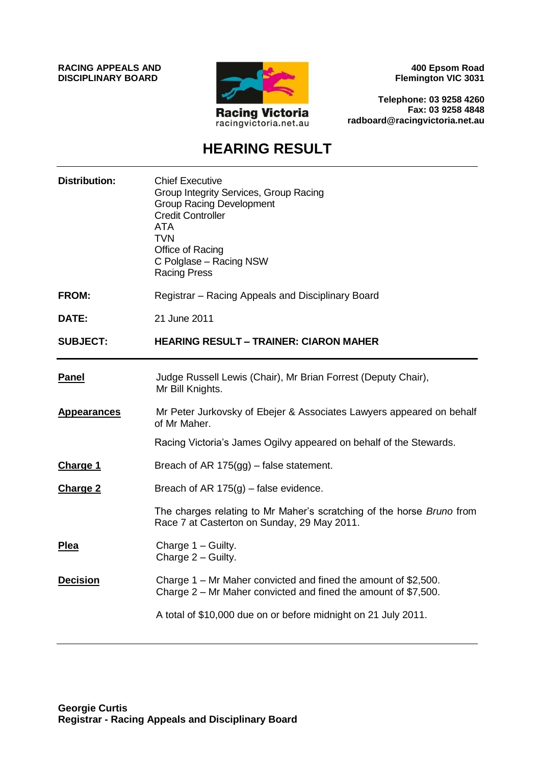**RACING APPEALS AND DISCIPLINARY BOARD**



**400 Epsom Road Flemington VIC 3031**

**Telephone: 03 9258 4260 Fax: 03 9258 4848 radboard@racingvictoria.net.au**

# **HEARING RESULT**

| <b>Distribution:</b> | <b>Chief Executive</b><br>Group Integrity Services, Group Racing<br><b>Group Racing Development</b><br><b>Credit Controller</b><br><b>ATA</b><br><b>TVN</b><br>Office of Racing<br>C Polglase - Racing NSW<br><b>Racing Press</b> |
|----------------------|-----------------------------------------------------------------------------------------------------------------------------------------------------------------------------------------------------------------------------------|
| <b>FROM:</b>         | Registrar - Racing Appeals and Disciplinary Board                                                                                                                                                                                 |
| DATE:                | 21 June 2011                                                                                                                                                                                                                      |
| <b>SUBJECT:</b>      | <b>HEARING RESULT - TRAINER: CIARON MAHER</b>                                                                                                                                                                                     |
| <b>Panel</b>         | Judge Russell Lewis (Chair), Mr Brian Forrest (Deputy Chair),<br>Mr Bill Knights.                                                                                                                                                 |
| <b>Appearances</b>   | Mr Peter Jurkovsky of Ebejer & Associates Lawyers appeared on behalf<br>of Mr Maher.                                                                                                                                              |
|                      | Racing Victoria's James Ogilvy appeared on behalf of the Stewards.                                                                                                                                                                |
| <b>Charge 1</b>      | Breach of AR 175(gg) – false statement.                                                                                                                                                                                           |
| <b>Charge 2</b>      | Breach of AR $175(g)$ – false evidence.                                                                                                                                                                                           |
|                      | The charges relating to Mr Maher's scratching of the horse <i>Bruno</i> from<br>Race 7 at Casterton on Sunday, 29 May 2011.                                                                                                       |
| Plea                 |                                                                                                                                                                                                                                   |
|                      | Charge 1 - Guilty.<br>Charge 2 - Guilty.                                                                                                                                                                                          |
| <b>Decision</b>      | Charge 1 – Mr Maher convicted and fined the amount of \$2,500.<br>Charge $2$ – Mr Maher convicted and fined the amount of \$7,500.                                                                                                |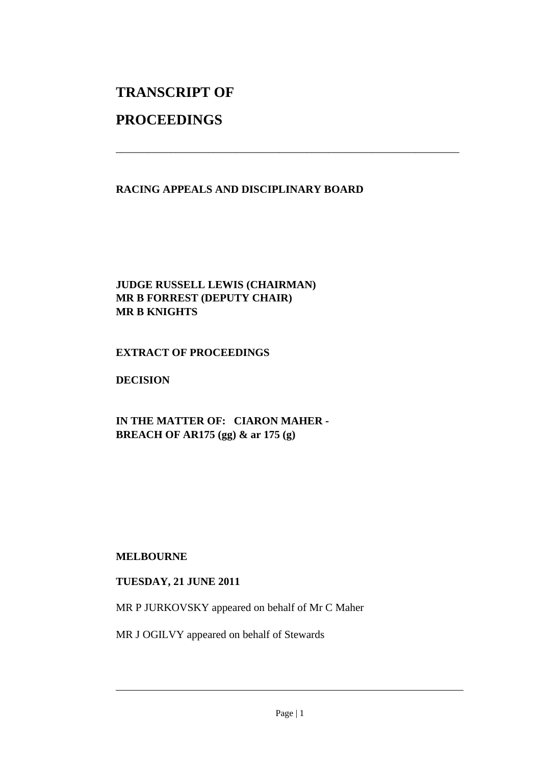## **TRANSCRIPT OF**

### **PROCEEDINGS**

### **RACING APPEALS AND DISCIPLINARY BOARD**

\_\_\_\_\_\_\_\_\_\_\_\_\_\_\_\_\_\_\_\_\_\_\_\_\_\_\_\_\_\_\_\_\_\_\_\_\_\_\_\_\_\_\_\_\_\_\_\_\_\_\_\_\_\_\_\_\_\_\_\_\_\_\_

#### **JUDGE RUSSELL LEWIS (CHAIRMAN) MR B FORREST (DEPUTY CHAIR) MR B KNIGHTS**

#### **EXTRACT OF PROCEEDINGS**

#### **DECISION**

**IN THE MATTER OF: CIARON MAHER - BREACH OF AR175 (gg) & ar 175 (g)** 

#### **MELBOURNE**

#### **TUESDAY, 21 JUNE 2011**

MR P JURKOVSKY appeared on behalf of Mr C Maher

MR J OGILVY appeared on behalf of Stewards